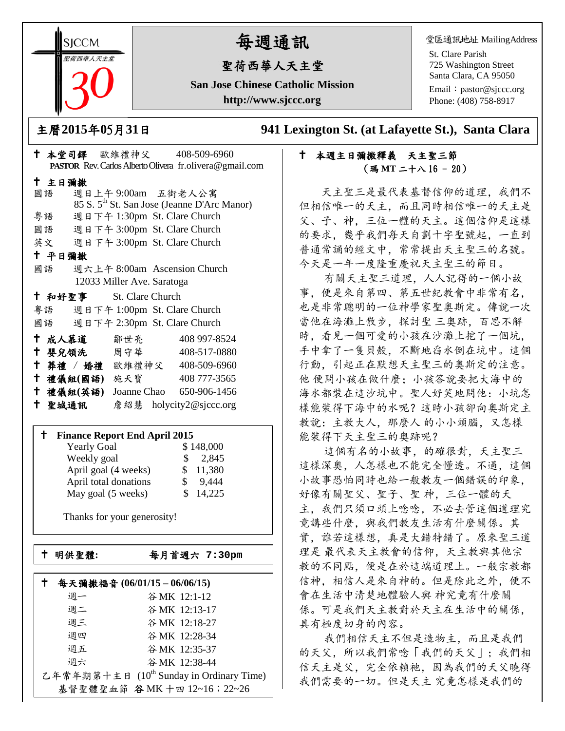**SICCM** 聖荷西華人天主堂 

# 每週通訊

## 聖荷西華人天主堂

**San Jose Chinese Catholic Mission http://www.sjccc.org**

堂區通訊地址 MailingAddress

St. Clare Parish 725 Washington Street Santa Clara, CA 95050

Email: [pastor@sjccc.org](mailto:pastor@sjccc.org) Phone: (408) 758-8917

主曆**2015**年**0**5月**31**日 **941 Lexington St. (at Lafayette St.), Santa Clara** 

#### 本週主日彌撒釋義 天主聖三節 (瑪 **MT** 二十八 16 - 20)

 天主聖三是最代表基督信仰的道理,我們不 但相信唯一的天主,而且同時相信唯一的天主是 父、子、神,三位一體的天主。這個信仰是這樣 的要求,幾乎我們每天自劃十字聖號起,一直到 普通常誦的經文中,常常提出天主聖三的名號。 今天是一年一度隆重慶祝天主聖三的節日。

 有關天主聖三道理,人人記得的一個小故 事,便是來自第四、第五世紀教會中非常有名, 也是非常聰明的一位神學家聖奧斯定。傳說一次 當他在海灘上散步,探討聖 三奧跡,百思不解 時,看見一個可愛的小孩在沙灘上挖了一個坑, 手中拿了一隻貝殼,不斷地舀水倒在坑中。這個 行動,引起正在默想天主聖三的奧斯定的注意。 他 便問小孩在做什麼;小孩答說要把大海中的 海水都裝在這沙坑中。聖人好笑地問他:小坑怎 樣能裝得下海中的水呢?這時小孩卻向奧斯定主 教說:主教大人,那麼人 的小小頭腦,又怎樣 能裝得下天主聖三的奧跡呢?

 這個有名的小故事,的確很對,天主聖三 這樣深奧,人怎樣也不能完全懂透。不過,這個 小故事恐怕同時也給一般教友一個錯誤的印象, 好像有關聖父、聖子、聖 神,三位一體的天 主,我們只須口頭上唸唸,不必去管這個道理究 竞講些什麼,與我們教友生活有什麼關係。其 實,誰若這樣想,真是大錯特錯了。原來聖三道 理是 最代表天主教會的信仰,天主教與其他宗 教的不同點,便是在於這端道理上。一般宗教都 信神,相信人是來自神的。但是除此之外,便不 會在生活中清楚地體驗人與 神究竟有什麼關 係。可是我們天主教對於天主在生活中的關係, 具有極度切身的內容。

 我們相信天主不但是造物主,而且是我們 的天父,所以我們常唸「我們的天父」;我們相 信天主是父,完全依賴祂,因為我們的天父曉得 我們需要的一切。但是天主 究竟怎樣是我們的

| <b>PASTOR</b> Rev. Carlos Alberto Olivera fr. olivera@gmail.com |        |                         |                            |  |                                                         |  |
|-----------------------------------------------------------------|--------|-------------------------|----------------------------|--|---------------------------------------------------------|--|
| 十 主日彌撒                                                          |        |                         |                            |  |                                                         |  |
|                                                                 | 國語     |                         |                            |  | 週日上午9:00am 五街老人公寓                                       |  |
|                                                                 |        |                         |                            |  | 85 S. 5 <sup>th</sup> St. San Jose (Jeanne D'Arc Manor) |  |
|                                                                 |        |                         |                            |  | 粤語 週日下午 1:30pm St. Clare Church                         |  |
|                                                                 |        |                         |                            |  | 國語 週日下午 3:00pm St. Clare Church                         |  |
|                                                                 |        |                         |                            |  | 英文 週日下午 3:00pm St. Clare Church                         |  |
|                                                                 | 十 平日彌撒 |                         |                            |  |                                                         |  |
|                                                                 | 國語     |                         |                            |  | 週六上午 8:00am Ascension Church                            |  |
|                                                                 |        |                         | 12033 Miller Ave. Saratoga |  |                                                         |  |
|                                                                 |        | † 和好聖事 St. Clare Church |                            |  |                                                         |  |
|                                                                 |        |                         |                            |  | 粤語 週日下午 1:00pm St. Clare Church                         |  |
|                                                                 |        |                         |                            |  | 國語 週日下午 2:30pm St. Clare Church                         |  |
|                                                                 |        | † 成人慕道   鄒世亮            |                            |  | 408 997-8524                                            |  |
|                                                                 |        |                         |                            |  | † 嬰兒領洗 周守華 408-517-0880                                 |  |
|                                                                 |        |                         |                            |  | + 葬禮 / 婚禮 歐維禮神父 408-509-6960                            |  |
|                                                                 |        | 十禮儀組(國語) 施天寶            |                            |  | 408 777-3565                                            |  |
|                                                                 |        | 十 禮儀組(英語)               |                            |  | Joanne Chao 650-906-1456                                |  |
|                                                                 | 十 聖城通訊 |                         |                            |  | 詹紹慧 holycity2@sjccc.org                                 |  |

本堂司鐸 歐維禮神父 408-509-6960

#### **Finance Report End April 2015**

| <b>Yearly Goal</b>    | \$148,000               |
|-----------------------|-------------------------|
| Weekly goal           | 2,845<br>SS.            |
| April goal (4 weeks)  | 11,380<br>$\mathcal{S}$ |
| April total donations | 9,444<br>S.             |
| May goal (5 weeks)    | 14,225                  |

Thanks for your generosity!

└<br>├

明供聖體**:** 每月首週六 **7:30pm**

|    | 每天彌撒福音 (06/01/15-06/06/15)               |
|----|------------------------------------------|
| 调一 | 谷MK 12:1-12                              |
| 週二 | 谷MK 12:13-17                             |
| 週三 | 谷MK 12:18-27                             |
| 週四 | 谷MK 12:28-34                             |
| 週五 | 谷MK 12:35-37                             |
| 週六 | 谷 MK 12:38-44                            |
|    | 乙年常年期第十主日 (10th Sunday in Ordinary Time) |
|    | 基督聖體聖血節 谷 MK 十四 12~16; 22~26             |